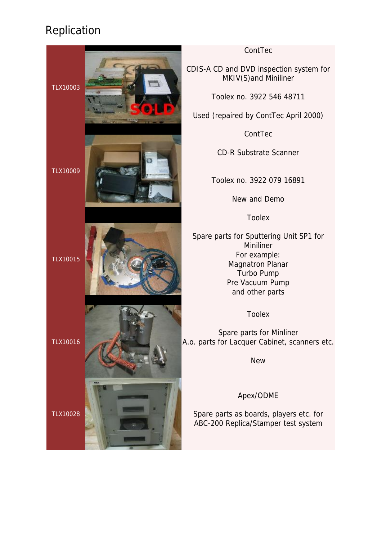

#### ContTec

CDIS-A CD and DVD inspection system for MKIV(S)and Miniliner

Toolex no. 3922 546 48711

Used (repaired by ContTec April 2000)

ContTec

CD-R Substrate Scanner

Toolex no. 3922 079 16891

New and Demo

Toolex

Spare parts for Sputtering Unit SP1 for **Miniliner** For example: Magnatron Planar Turbo Pump Pre Vacuum Pump and other parts

Toolex

Spare parts for Minliner A.o. parts for Lacquer Cabinet, scanners etc.

Apex/ODME

Spare parts as boards, players etc. for ABC-200 Replica/Stamper test system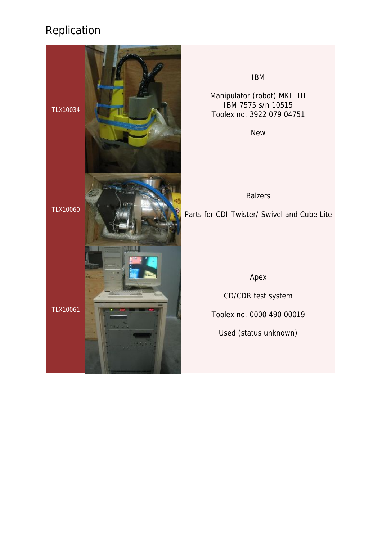

IBM

Manipulator (robot) MKII-III IBM 7575 s/n 10515 Toolex no. 3922 079 04751

New

Balzers Parts for CDI Twister/ Swivel and Cube Lite

#### Apex

CD/CDR test system

Toolex no. 0000 490 00019

Used (status unknown)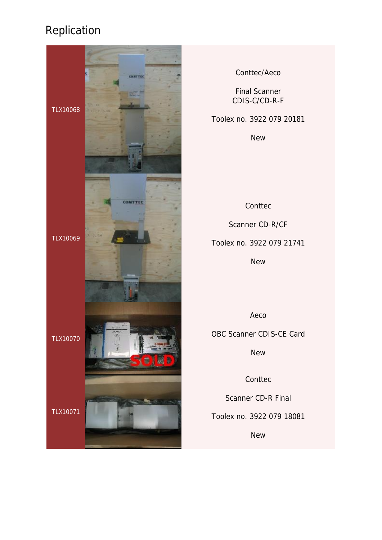

Conttec/Aeco

Final Scanner CDIS-C/CD-R-F

Toolex no. 3922 079 20181

New

**Conttec** 

Scanner CD-R/CF

Toolex no. 3922 079 21741

New

Aeco

OBC Scanner CDIS-CE Card

**New** 

**Conttec** 

Scanner CD-R Final

Toolex no. 3922 079 18081

New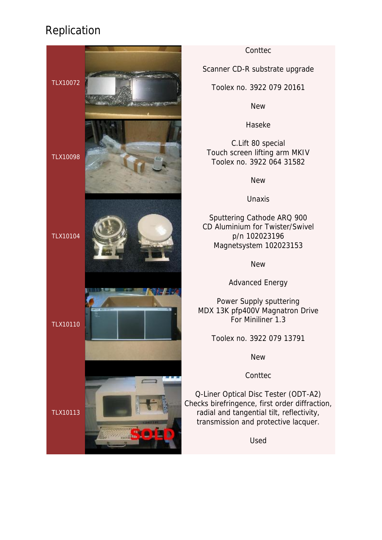

#### **Contrec**

Scanner CD-R substrate upgrade

Toolex no. 3922 079 20161

**New** 

Haseke

C.Lift 80 special Touch screen lifting arm MKIV Toolex no. 3922 064 31582

**New** 

Unaxis

Sputtering Cathode ARQ 900 CD Aluminium for Twister/Swivel p/n 102023196 Magnetsystem 102023153

New

Advanced Energy

Power Supply sputtering MDX 13K pfp400V Magnatron Drive For Miniliner 1.3

Toolex no. 3922 079 13791

**New** 

**Conttec** 

Q-Liner Optical Disc Tester (ODT-A2) Checks birefringence, first order diffraction, radial and tangential tilt, reflectivity, transmission and protective lacquer.

Used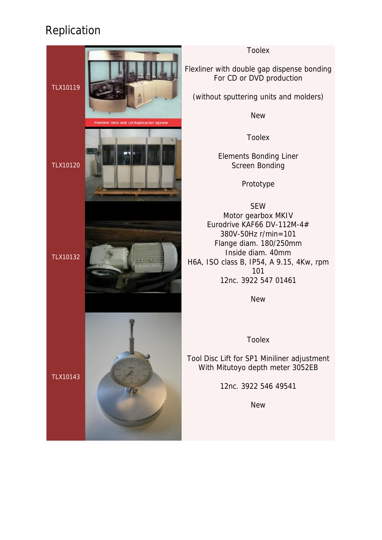

Toolex

Flexliner with double gap dispense bonding For CD or DVD production

(without sputtering units and molders)

New

Toolex

Elements Bonding Liner Screen Bonding

Prototype

SEW Motor gearbox MKIV Eurodrive KAF66 DV-112M-4# 380V-50Hz r/min=101 Flange diam. 180/250mm Inside diam. 40mm H6A, ISO class B, IP54, A 9.15, 4Kw, rpm 101 12nc. 3922 547 01461

New

Toolex

Tool Disc Lift for SP1 Miniliner adjustment With Mitutoyo depth meter 3052EB

12nc. 3922 546 49541

New